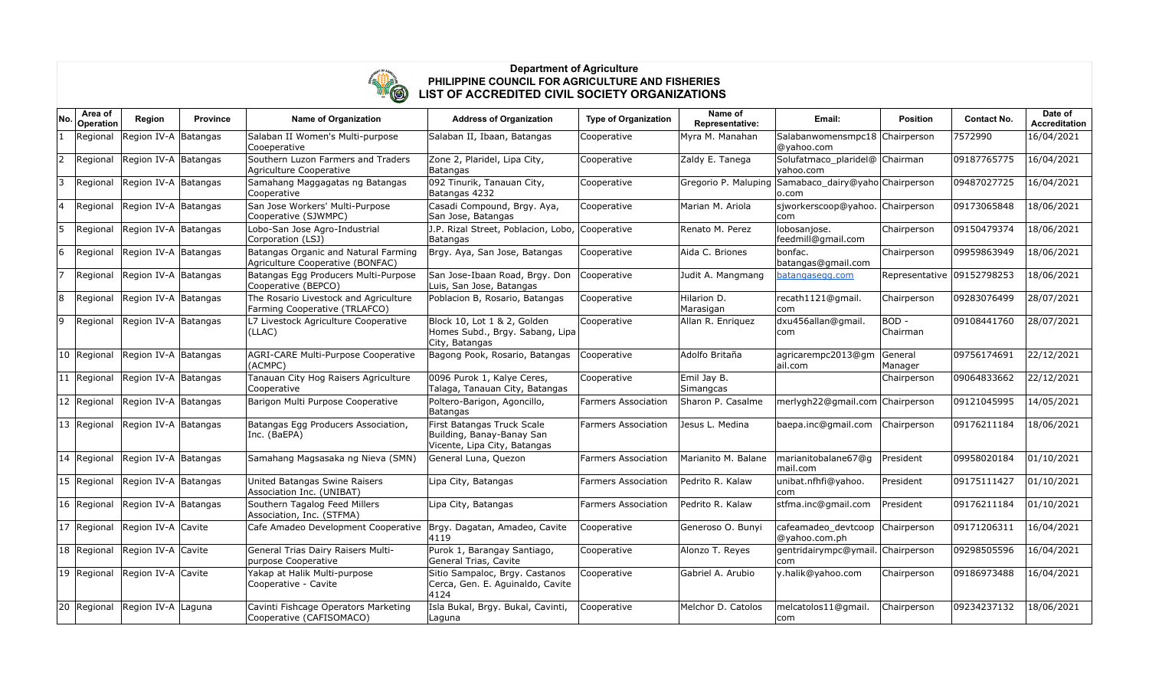

## **Department of Agriculture PHILIPPINE COUNCIL FOR AGRICULTURE AND FISHERIES LIST OF ACCREDITED CIVIL SOCIETY ORGANIZATIONS**

| No           | Area of<br>Operation | Region                           | <b>Province</b> | <b>Name of Organization</b>                                              | <b>Address of Organization</b>                                                          | <b>Type of Organization</b> | Name of<br>Representative: | Email:                                                                             | <b>Position</b>            | <b>Contact No.</b> | Date of<br><b>Accreditation</b> |
|--------------|----------------------|----------------------------------|-----------------|--------------------------------------------------------------------------|-----------------------------------------------------------------------------------------|-----------------------------|----------------------------|------------------------------------------------------------------------------------|----------------------------|--------------------|---------------------------------|
| $\mathbf{1}$ | Regional             | Region IV-A Batangas             |                 | Salaban II Women's Multi-purpose<br>Cooeperative                         | Salaban II, Ibaan, Batangas                                                             | Cooperative                 | Myra M. Manahan            | Salabanwomensmpc18 Chairperson<br>@yahoo.com                                       |                            | 7572990            | 16/04/2021                      |
| 2            | Regional             | Region IV-A Batangas             |                 | Southern Luzon Farmers and Traders<br>Agriculture Cooperative            | Zone 2, Plaridel, Lipa City,<br>Batangas                                                | Cooperative                 | Zaldy E. Tanega            | Solufatmaco plaridel@ Chairman<br>yahoo.com                                        |                            | 09187765775        | 16/04/2021                      |
| 3            | Regional             | Region IV-A Batangas             |                 | Samahang Maggagatas ng Batangas<br>Cooperative                           | 092 Tinurik, Tanauan City,<br>Batangas 4232                                             | Cooperative                 |                            | Gregorio P. Maluping Samabaco_dairy@yaho Chairperson<br>$\mathsf{lo}.\mathsf{com}$ |                            | 09487027725        | 16/04/2021                      |
|              | Regional             | Region IV-A Batangas             |                 | San Jose Workers' Multi-Purpose<br>Cooperative (SJWMPC)                  | Casadi Compound, Brgy. Aya,<br>San Jose, Batangas                                       | Cooperative                 | Marian M. Ariola           | sjworkerscoop@yahoo. Chairperson<br>com                                            |                            | 09173065848        | 18/06/2021                      |
| 5            | Regional             | Region IV-A Batangas             |                 | Lobo-San Jose Agro-Industrial<br>Corporation (LSJ)                       | J.P. Rizal Street, Poblacion, Lobo, Cooperative<br><b>Batangas</b>                      |                             | Renato M. Perez            | lobosanjose.<br>feedmill@gmail.com                                                 | Chairperson                | 09150479374        | 18/06/2021                      |
| 6            | Regional             | Region IV-A Batangas             |                 | Batangas Organic and Natural Farming<br>Agriculture Cooperative (BONFAC) | Brgy. Aya, San Jose, Batangas                                                           | Cooperative                 | Aida C. Briones            | bonfac.<br>batangas@gmail.com                                                      | Chairperson                | 09959863949        | 18/06/2021                      |
|              | Regional             | Region IV-A Batangas             |                 | Batangas Egg Producers Multi-Purpose<br>Cooperative (BEPCO)              | San Jose-Ibaan Road, Brgy. Don<br>Luis, San Jose, Batangas                              | Cooperative                 | Judit A. Mangmang          | batangasegg.com                                                                    | Representative 09152798253 |                    | 18/06/2021                      |
| 8            | Regional             | Region IV-A Batangas             |                 | The Rosario Livestock and Agriculture<br>Farming Cooperative (TRLAFCO)   | Poblacion B, Rosario, Batangas                                                          | Cooperative                 | Hilarion D.<br>Marasigan   | recath1121@gmail.<br>com                                                           | Chairperson                | 09283076499        | 28/07/2021                      |
| 9            |                      | Regional Region IV-A Batangas    |                 | L7 Livestock Agriculture Cooperative<br>$ $ (LLAC)                       | Block 10, Lot 1 & 2, Golden<br>Homes Subd., Brgy. Sabang, Lipa<br>City, Batangas        | Cooperative                 | Allan R. Enriguez          | dxu456allan@gmail.<br>com                                                          | BOD -<br>Chairman          | 09108441760        | 28/07/2021                      |
|              | 10 Regional          | Region IV-A Batangas             |                 | AGRI-CARE Multi-Purpose Cooperative<br>(ACMPC)                           | Bagong Pook, Rosario, Batangas                                                          | Cooperative                 | Adolfo Britaña             | agricarempc2013@gm<br>ail.com                                                      | General<br>Manager         | 09756174691        | 22/12/2021                      |
|              | 11 Regional          | Region IV-A Batangas             |                 | Tanauan City Hog Raisers Agriculture<br>Cooperative                      | 0096 Purok 1, Kalye Ceres,<br>Talaga, Tanauan City, Batangas                            | Cooperative                 | Emil Jay B.<br>Simangcas   |                                                                                    | Chairperson                | 09064833662        | 22/12/2021                      |
|              | 12 Regional          | Region IV-A Batangas             |                 | Barigon Multi Purpose Cooperative                                        | Poltero-Barigon, Agoncillo,<br>Batangas                                                 | <b>Farmers Association</b>  | Sharon P. Casalme          | merlygh22@gmail.com Chairperson                                                    |                            | 09121045995        | 14/05/2021                      |
|              | $ 13 $ Regional      | Region IV-A Batangas             |                 | Batangas Egg Producers Association,<br>Inc. (BaEPA)                      | First Batangas Truck Scale<br>Building, Banay-Banay San<br>Vicente, Lipa City, Batangas | <b>Farmers Association</b>  | Jesus L. Medina            | baepa.inc@gmail.com                                                                | Chairperson                | 09176211184        | 18/06/2021                      |
|              | $ 14 $ Regional      | Region IV-A Batangas             |                 | Samahang Magsasaka ng Nieva (SMN)                                        | General Luna, Quezon                                                                    | <b>Farmers Association</b>  | Marianito M. Balane        | marianitobalane67@q<br>mail.com                                                    | President                  | 09958020184        | 01/10/2021                      |
|              |                      | 15 Regional Region IV-A Batangas |                 | United Batangas Swine Raisers<br>Association Inc. (UNIBAT)               | Lipa City, Batangas                                                                     | <b>Farmers Association</b>  | Pedrito R. Kalaw           | unibat.nfhfi@yahoo.<br> com                                                        | President                  | 09175111427        | 01/10/2021                      |
|              | 16 Regional          | Region IV-A Batangas             |                 | Southern Tagalog Feed Millers<br>Association, Inc. (STFMA)               | Lipa City, Batangas                                                                     | <b>Farmers Association</b>  | Pedrito R. Kalaw           | stfma.inc@gmail.com                                                                | President                  | 09176211184        | 01/10/2021                      |
|              | 17 Regional          | Region IV-A Cavite               |                 | Cafe Amadeo Development Cooperative                                      | Brgy. Dagatan, Amadeo, Cavite<br>4119                                                   | Cooperative                 | Generoso O. Bunyi          | cafeamadeo_devtcoop<br>@yahoo.com.ph                                               | Chairperson                | 09171206311        | 16/04/2021                      |
|              |                      | 18 Regional Region IV-A Cavite   |                 | General Trias Dairy Raisers Multi-<br>purpose Cooperative                | Purok 1, Barangay Santiago,<br>General Trias, Cavite                                    | Cooperative                 | Alonzo T. Reyes            | gentridairympc@ymail. Chairperson<br>com                                           |                            | 09298505596        | 16/04/2021                      |
|              |                      | 19 Regional Region IV-A Cavite   |                 | Yakap at Halik Multi-purpose<br>Cooperative - Cavite                     | Sitio Sampaloc, Brgy. Castanos<br>Cerca, Gen. E. Aguinaldo, Cavite<br>4124              | Cooperative                 | Gabriel A. Arubio          | y.halik@yahoo.com                                                                  | Chairperson                | 09186973488        | 16/04/2021                      |
|              | 20 Regional          | Region IV-A Laguna               |                 | Cavinti Fishcage Operators Marketing<br>Cooperative (CAFISOMACO)         | Isla Bukal, Brgy. Bukal, Cavinti,<br>Laguna                                             | Cooperative                 | Melchor D. Catolos         | melcatolos11@gmail.<br>com                                                         | Chairperson                | 09234237132        | 18/06/2021                      |